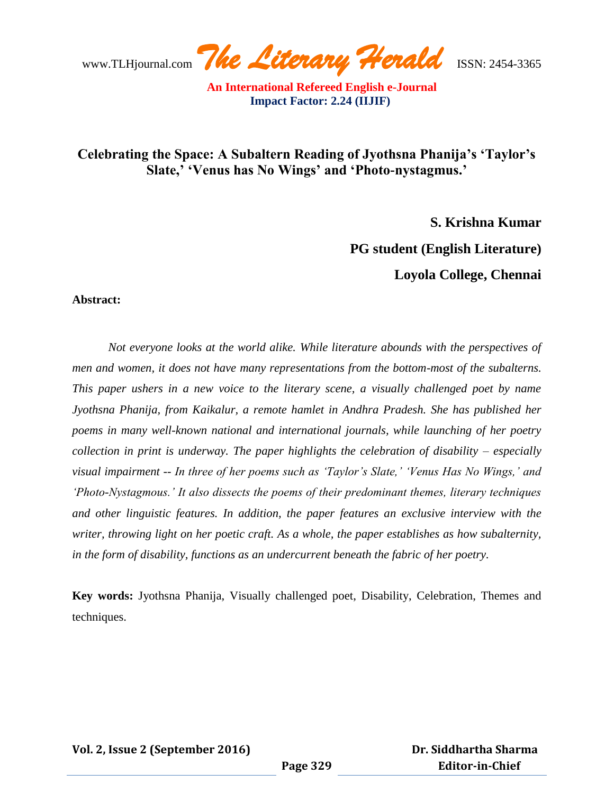www.TLHjournal.com *The Literary Herald*ISSN: 2454-3365

# **Celebrating the Space: A Subaltern Reading of Jyothsna Phanija's 'Taylor's Slate,' 'Venus has No Wings' and 'Photo-nystagmus.'**

**S. Krishna Kumar**

**PG student (English Literature)**

**Loyola College, Chennai**

### **Abstract:**

*Not everyone looks at the world alike. While literature abounds with the perspectives of men and women, it does not have many representations from the bottom-most of the subalterns. This paper ushers in a new voice to the literary scene, a visually challenged poet by name Jyothsna Phanija, from Kaikalur, a remote hamlet in Andhra Pradesh. She has published her poems in many well-known national and international journals, while launching of her poetry collection in print is underway. The paper highlights the celebration of disability – especially visual impairment -- In three of her poems such as 'Taylor's Slate,' 'Venus Has No Wings,' and 'Photo-Nystagmous.' It also dissects the poems of their predominant themes, literary techniques and other linguistic features. In addition, the paper features an exclusive interview with the writer, throwing light on her poetic craft. As a whole, the paper establishes as how subalternity, in the form of disability, functions as an undercurrent beneath the fabric of her poetry.*

**Key words:** Jyothsna Phanija, Visually challenged poet, Disability, Celebration, Themes and techniques.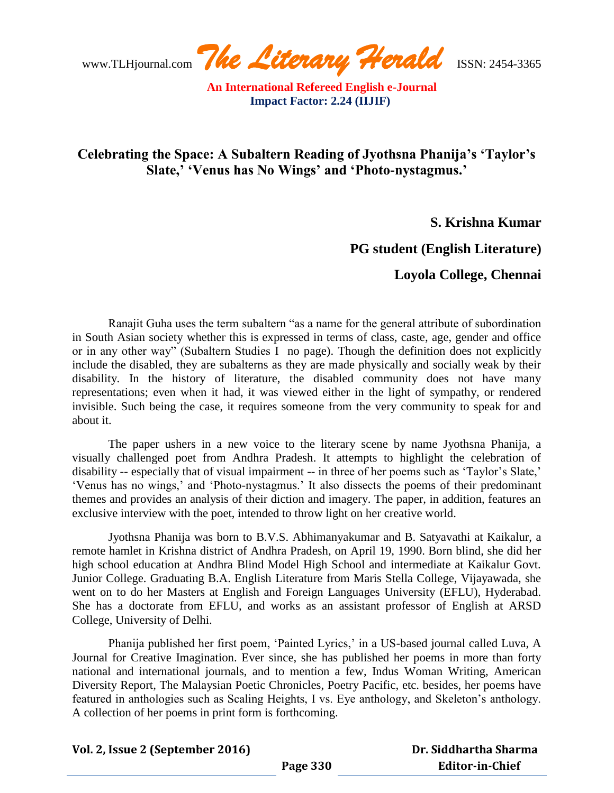www.TLHjournal.com *The Literary Herald*ISSN: 2454-3365

# **Celebrating the Space: A Subaltern Reading of Jyothsna Phanija's 'Taylor's Slate,' 'Venus has No Wings' and 'Photo-nystagmus.'**

**S. Krishna Kumar**

## **PG student (English Literature)**

**Loyola College, Chennai**

Ranajit Guha uses the term subaltern "as a name for the general attribute of subordination in South Asian society whether this is expressed in terms of class, caste, age, gender and office or in any other way" (Subaltern Studies I no page). Though the definition does not explicitly include the disabled, they are subalterns as they are made physically and socially weak by their disability. In the history of literature, the disabled community does not have many representations; even when it had, it was viewed either in the light of sympathy, or rendered invisible. Such being the case, it requires someone from the very community to speak for and about it.

The paper ushers in a new voice to the literary scene by name Jyothsna Phanija, a visually challenged poet from Andhra Pradesh. It attempts to highlight the celebration of disability -- especially that of visual impairment -- in three of her poems such as 'Taylor's Slate,' 'Venus has no wings,' and 'Photo-nystagmus.' It also dissects the poems of their predominant themes and provides an analysis of their diction and imagery. The paper, in addition, features an exclusive interview with the poet, intended to throw light on her creative world.

Jyothsna Phanija was born to B.V.S. Abhimanyakumar and B. Satyavathi at Kaikalur, a remote hamlet in Krishna district of Andhra Pradesh, on April 19, 1990. Born blind, she did her high school education at Andhra Blind Model High School and intermediate at Kaikalur Govt. Junior College. Graduating B.A. English Literature from Maris Stella College, Vijayawada, she went on to do her Masters at English and Foreign Languages University (EFLU), Hyderabad. She has a doctorate from EFLU, and works as an assistant professor of English at ARSD College, University of Delhi.

Phanija published her first poem, 'Painted Lyrics,' in a US-based journal called Luva, A Journal for Creative Imagination. Ever since, she has published her poems in more than forty national and international journals, and to mention a few, Indus Woman Writing, American Diversity Report, The Malaysian Poetic Chronicles, Poetry Pacific, etc. besides, her poems have featured in anthologies such as Scaling Heights, I vs. Eye anthology, and Skeleton"s anthology. A collection of her poems in print form is forthcoming.

**Vol. 2, Issue 2 (September 2016)**

 **Dr. Siddhartha Sharma Editor-in-Chief**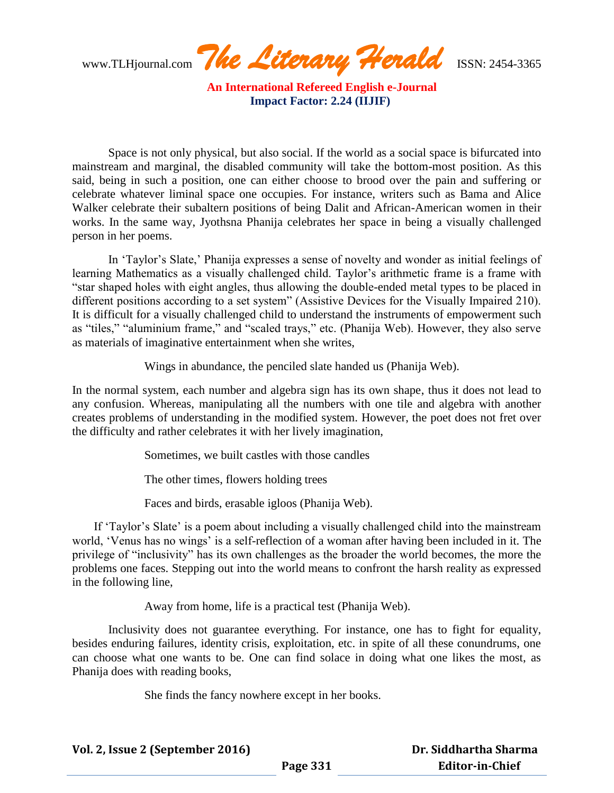www.TLHjournal.com *The Literary Herald*ISSN: 2454-3365

Space is not only physical, but also social. If the world as a social space is bifurcated into mainstream and marginal, the disabled community will take the bottom-most position. As this said, being in such a position, one can either choose to brood over the pain and suffering or celebrate whatever liminal space one occupies. For instance, writers such as Bama and Alice Walker celebrate their subaltern positions of being Dalit and African-American women in their works. In the same way, Jyothsna Phanija celebrates her space in being a visually challenged person in her poems.

In "Taylor"s Slate," Phanija expresses a sense of novelty and wonder as initial feelings of learning Mathematics as a visually challenged child. Taylor's arithmetic frame is a frame with "star shaped holes with eight angles, thus allowing the double-ended metal types to be placed in different positions according to a set system" (Assistive Devices for the Visually Impaired 210). It is difficult for a visually challenged child to understand the instruments of empowerment such as "tiles," "aluminium frame," and "scaled trays," etc. (Phanija Web). However, they also serve as materials of imaginative entertainment when she writes,

Wings in abundance, the penciled slate handed us (Phanija Web).

In the normal system, each number and algebra sign has its own shape, thus it does not lead to any confusion. Whereas, manipulating all the numbers with one tile and algebra with another creates problems of understanding in the modified system. However, the poet does not fret over the difficulty and rather celebrates it with her lively imagination,

Sometimes, we built castles with those candles

The other times, flowers holding trees

Faces and birds, erasable igloos (Phanija Web).

If 'Taylor's Slate' is a poem about including a visually challenged child into the mainstream world, 'Venus has no wings' is a self-reflection of a woman after having been included in it. The privilege of "inclusivity" has its own challenges as the broader the world becomes, the more the problems one faces. Stepping out into the world means to confront the harsh reality as expressed in the following line,

Away from home, life is a practical test (Phanija Web).

Inclusivity does not guarantee everything. For instance, one has to fight for equality, besides enduring failures, identity crisis, exploitation, etc. in spite of all these conundrums, one can choose what one wants to be. One can find solace in doing what one likes the most, as Phanija does with reading books,

She finds the fancy nowhere except in her books.

**Vol. 2, Issue 2 (September 2016)**

 **Dr. Siddhartha Sharma Editor-in-Chief**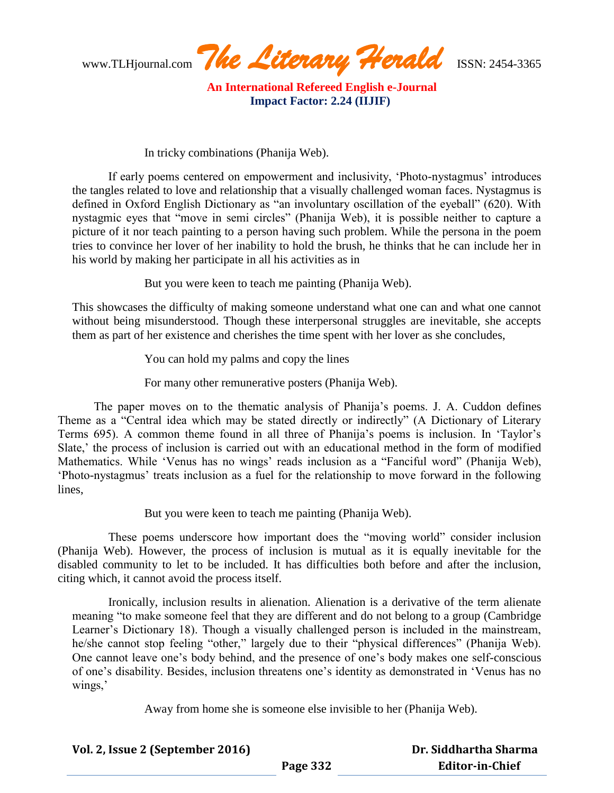www.TLHjournal.com *The Literary Herald*ISSN: 2454-3365

In tricky combinations (Phanija Web).

If early poems centered on empowerment and inclusivity, "Photo-nystagmus" introduces the tangles related to love and relationship that a visually challenged woman faces. Nystagmus is defined in Oxford English Dictionary as "an involuntary oscillation of the eyeball" (620). With nystagmic eyes that "move in semi circles" (Phanija Web), it is possible neither to capture a picture of it nor teach painting to a person having such problem. While the persona in the poem tries to convince her lover of her inability to hold the brush, he thinks that he can include her in his world by making her participate in all his activities as in

But you were keen to teach me painting (Phanija Web).

This showcases the difficulty of making someone understand what one can and what one cannot without being misunderstood. Though these interpersonal struggles are inevitable, she accepts them as part of her existence and cherishes the time spent with her lover as she concludes,

You can hold my palms and copy the lines

For many other remunerative posters (Phanija Web).

The paper moves on to the thematic analysis of Phanija's poems. J. A. Cuddon defines Theme as a "Central idea which may be stated directly or indirectly" (A Dictionary of Literary Terms 695). A common theme found in all three of Phanija"s poems is inclusion. In "Taylor"s Slate,' the process of inclusion is carried out with an educational method in the form of modified Mathematics. While 'Venus has no wings' reads inclusion as a "Fanciful word" (Phanija Web), "Photo-nystagmus" treats inclusion as a fuel for the relationship to move forward in the following lines,

But you were keen to teach me painting (Phanija Web).

These poems underscore how important does the "moving world" consider inclusion (Phanija Web). However, the process of inclusion is mutual as it is equally inevitable for the disabled community to let to be included. It has difficulties both before and after the inclusion, citing which, it cannot avoid the process itself.

Ironically, inclusion results in alienation. Alienation is a derivative of the term alienate meaning "to make someone feel that they are different and do not belong to a group (Cambridge Learner's Dictionary 18). Though a visually challenged person is included in the mainstream, he/she cannot stop feeling "other," largely due to their "physical differences" (Phanija Web). One cannot leave one"s body behind, and the presence of one"s body makes one self-conscious of one"s disability. Besides, inclusion threatens one"s identity as demonstrated in "Venus has no wings,'

Away from home she is someone else invisible to her (Phanija Web).

**Vol. 2, Issue 2 (September 2016) Page 332 Dr. Siddhartha Sharma Editor-in-Chief**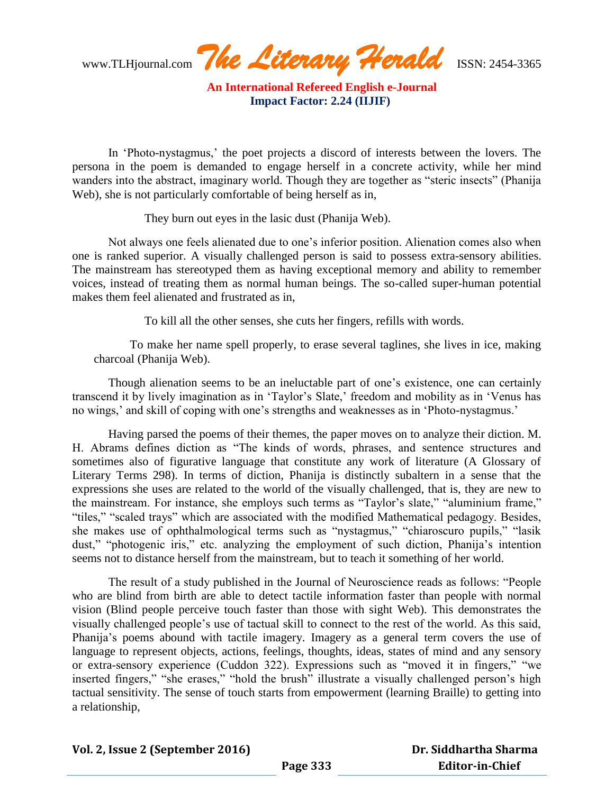www.TLHjournal.com *The Literary Herald*ISSN: 2454-3365

In 'Photo-nystagmus,' the poet projects a discord of interests between the lovers. The persona in the poem is demanded to engage herself in a concrete activity, while her mind wanders into the abstract, imaginary world. Though they are together as "steric insects" (Phanija Web), she is not particularly comfortable of being herself as in,

They burn out eyes in the lasic dust (Phanija Web).

Not always one feels alienated due to one"s inferior position. Alienation comes also when one is ranked superior. A visually challenged person is said to possess extra-sensory abilities. The mainstream has stereotyped them as having exceptional memory and ability to remember voices, instead of treating them as normal human beings. The so-called super-human potential makes them feel alienated and frustrated as in,

To kill all the other senses, she cuts her fingers, refills with words.

To make her name spell properly, to erase several taglines, she lives in ice, making charcoal (Phanija Web).

Though alienation seems to be an ineluctable part of one"s existence, one can certainly transcend it by lively imagination as in 'Taylor's Slate,' freedom and mobility as in 'Venus has no wings,' and skill of coping with one's strengths and weaknesses as in 'Photo-nystagmus.'

Having parsed the poems of their themes, the paper moves on to analyze their diction. M. H. Abrams defines diction as "The kinds of words, phrases, and sentence structures and sometimes also of figurative language that constitute any work of literature (A Glossary of Literary Terms 298). In terms of diction, Phanija is distinctly subaltern in a sense that the expressions she uses are related to the world of the visually challenged, that is, they are new to the mainstream. For instance, she employs such terms as "Taylor's slate," "aluminium frame," "tiles," "scaled trays" which are associated with the modified Mathematical pedagogy. Besides, she makes use of ophthalmological terms such as "nystagmus," "chiaroscuro pupils," "lasik dust," "photogenic iris," etc. analyzing the employment of such diction, Phanija's intention seems not to distance herself from the mainstream, but to teach it something of her world.

The result of a study published in the Journal of Neuroscience reads as follows: "People who are blind from birth are able to detect tactile information faster than people with normal vision (Blind people perceive touch faster than those with sight Web). This demonstrates the visually challenged people"s use of tactual skill to connect to the rest of the world. As this said, Phanija's poems abound with tactile imagery. Imagery as a general term covers the use of language to represent objects, actions, feelings, thoughts, ideas, states of mind and any sensory or extra-sensory experience (Cuddon 322). Expressions such as "moved it in fingers," "we inserted fingers," "she erases," "hold the brush" illustrate a visually challenged person's high tactual sensitivity. The sense of touch starts from empowerment (learning Braille) to getting into a relationship,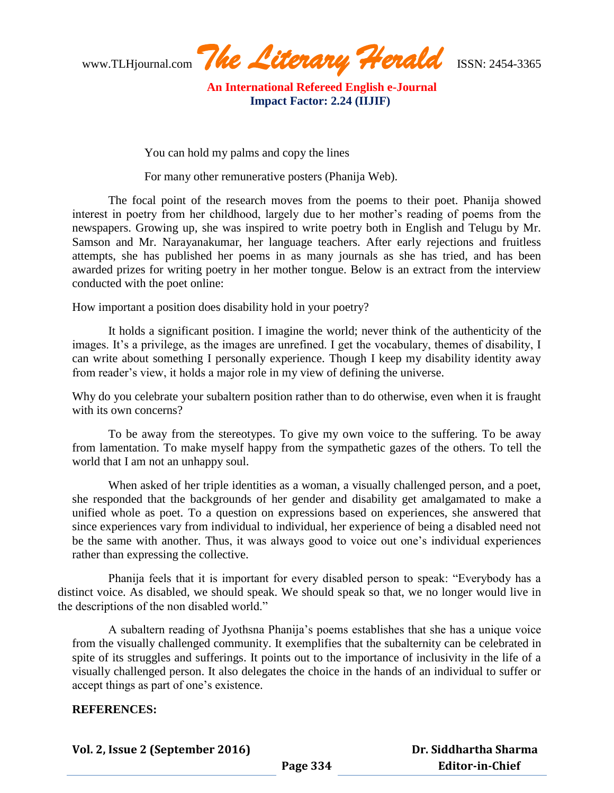www.TLHjournal.com *The Literary Herald*ISSN: 2454-3365

You can hold my palms and copy the lines

For many other remunerative posters (Phanija Web).

The focal point of the research moves from the poems to their poet. Phanija showed interest in poetry from her childhood, largely due to her mother's reading of poems from the newspapers. Growing up, she was inspired to write poetry both in English and Telugu by Mr. Samson and Mr. Narayanakumar, her language teachers. After early rejections and fruitless attempts, she has published her poems in as many journals as she has tried, and has been awarded prizes for writing poetry in her mother tongue. Below is an extract from the interview conducted with the poet online:

How important a position does disability hold in your poetry?

It holds a significant position. I imagine the world; never think of the authenticity of the images. It's a privilege, as the images are unrefined. I get the vocabulary, themes of disability, I can write about something I personally experience. Though I keep my disability identity away from reader"s view, it holds a major role in my view of defining the universe.

Why do you celebrate your subaltern position rather than to do otherwise, even when it is fraught with its own concerns?

To be away from the stereotypes. To give my own voice to the suffering. To be away from lamentation. To make myself happy from the sympathetic gazes of the others. To tell the world that I am not an unhappy soul.

When asked of her triple identities as a woman, a visually challenged person, and a poet, she responded that the backgrounds of her gender and disability get amalgamated to make a unified whole as poet. To a question on expressions based on experiences, she answered that since experiences vary from individual to individual, her experience of being a disabled need not be the same with another. Thus, it was always good to voice out one"s individual experiences rather than expressing the collective.

Phanija feels that it is important for every disabled person to speak: "Everybody has a distinct voice. As disabled, we should speak. We should speak so that, we no longer would live in the descriptions of the non disabled world."

A subaltern reading of Jyothsna Phanija"s poems establishes that she has a unique voice from the visually challenged community. It exemplifies that the subalternity can be celebrated in spite of its struggles and sufferings. It points out to the importance of inclusivity in the life of a visually challenged person. It also delegates the choice in the hands of an individual to suffer or accept things as part of one"s existence.

#### **REFERENCES:**

**Vol. 2, Issue 2 (September 2016)**

 **Dr. Siddhartha Sharma Editor-in-Chief**